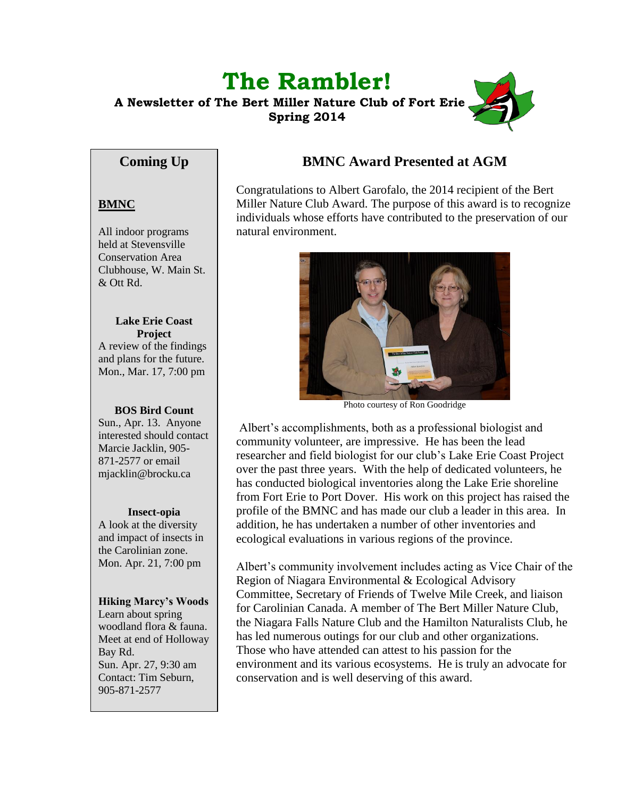# **The Rambler! A Newsletter of The Bert Miller Nature Club of Fort Erie Spring 2014**

# **Coming Up**

### **BMNC**

All indoor programs held at Stevensville Conservation Area Clubhouse, W. Main St. & Ott Rd.

**Lake Erie Coast Project** A review of the findings and plans for the future. Mon., Mar. 17, 7:00 pm

#### **BOS Bird Count**

Sun., Apr. 13. Anyone interested should contact Marcie Jacklin, 905- 871-2577 or email mjacklin@brocku.ca

#### **Insect-opia**

A look at the diversity and impact of insects in the Carolinian zone. Mon. Apr. 21, 7:00 pm

#### **Hiking Marcy's Woods**

Learn about spring woodland flora & fauna. Meet at end of Holloway Bay Rd. Sun. Apr. 27, 9:30 am Contact: Tim Seburn, 905-871-2577

# **BMNC Award Presented at AGM**

Congratulations to Albert Garofalo, the 2014 recipient of the Bert Miller Nature Club Award. The purpose of this award is to recognize individuals whose efforts have contributed to the preservation of our natural environment.



Photo courtesy of Ron Goodridge

Albert's accomplishments, both as a professional biologist and community volunteer, are impressive. He has been the lead researcher and field biologist for our club's Lake Erie Coast Project over the past three years. With the help of dedicated volunteers, he has conducted biological inventories along the Lake Erie shoreline from Fort Erie to Port Dover. His work on this project has raised the profile of the BMNC and has made our club a leader in this area. In addition, he has undertaken a number of other inventories and ecological evaluations in various regions of the province.

Albert's community involvement includes acting as Vice Chair of the Region of Niagara Environmental & Ecological Advisory Committee, Secretary of Friends of Twelve Mile Creek, and liaison for Carolinian Canada. A member of The Bert Miller Nature Club, the Niagara Falls Nature Club and the Hamilton Naturalists Club, he has led numerous outings for our club and other organizations. Those who have attended can attest to his passion for the environment and its various ecosystems. He is truly an advocate for conservation and is well deserving of this award.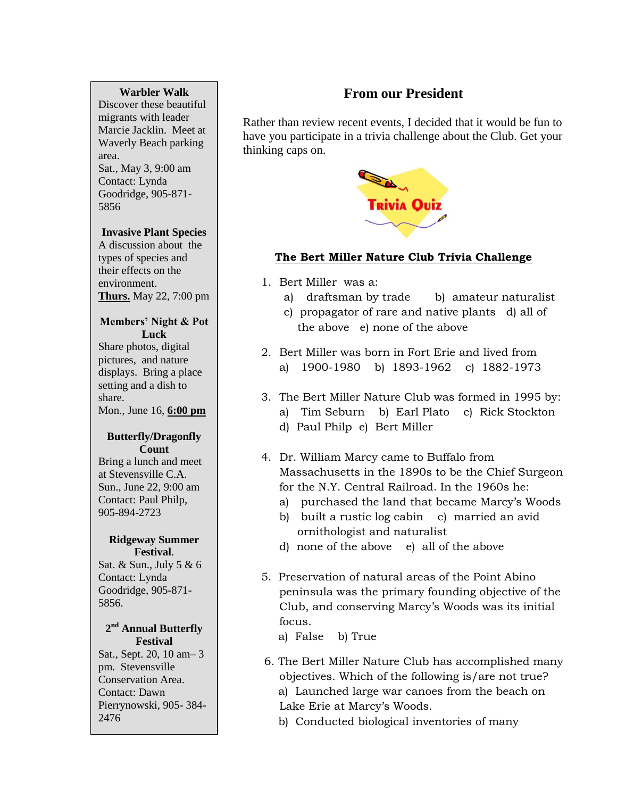#### **Warbler Walk**

Discover these beautiful migrants with leader Marcie Jacklin. Meet at Waverly Beach parking area. Sat., May 3, 9:00 am Contact: Lynda Goodridge, 905-871- 5856

#### **Invasive Plant Species**

A discussion about the types of species and their effects on the environment. **Thurs.** May 22, 7:00 pm

#### **Members' Night & Pot Luck**

Share photos, digital pictures, and nature displays. Bring a place setting and a dish to share. Mon., June 16, **6:00 pm**

#### **Butterfly/Dragonfly Count**

Bring a lunch and meet at Stevensville C.A. Sun., June 22, 9:00 am Contact: Paul Philp, 905-894-2723

#### **Ridgeway Summer Festival**.

Sat. & Sun., July 5 & 6 Contact: Lynda Goodridge, 905-871- 5856.

#### **2 nd Annual Butterfly Festival**

Sat., Sept. 20, 10 am– 3 pm. Stevensville Conservation Area. Contact: Dawn Pierrynowski, 905- 384- 2476

# **From our President**

Rather than review recent events, I decided that it would be fun to have you participate in a trivia challenge about the Club. Get your thinking caps on.



### **The Bert Miller Nature Club Trivia Challenge**

- 1. Bert Miller was a:
	- a) draftsman by trade b) amateur naturalist
	- c) propagator of rare and native plants d) all of the above e) none of the above
- 2. Bert Miller was born in Fort Erie and lived from a) 1900-1980 b) 1893-1962 c) 1882-1973
- 3. The Bert Miller Nature Club was formed in 1995 by: a) Tim Seburn b) Earl Plato c) Rick Stockton d) Paul Philp e) Bert Miller
- 4. Dr. William Marcy came to Buffalo from Massachusetts in the 1890s to be the Chief Surgeon for the N.Y. Central Railroad. In the 1960s he:
	- a) purchased the land that became Marcy's Woods
	- b) built a rustic log cabin c) married an avid ornithologist and naturalist
	- d) none of the above e) all of the above
- 5. Preservation of natural areas of the Point Abino peninsula was the primary founding objective of the Club, and conserving Marcy's Woods was its initial focus.
	- a) False b) True
- 6. The Bert Miller Nature Club has accomplished many objectives. Which of the following is/are not true? a) Launched large war canoes from the beach on Lake Erie at Marcy's Woods.
	- b) Conducted biological inventories of many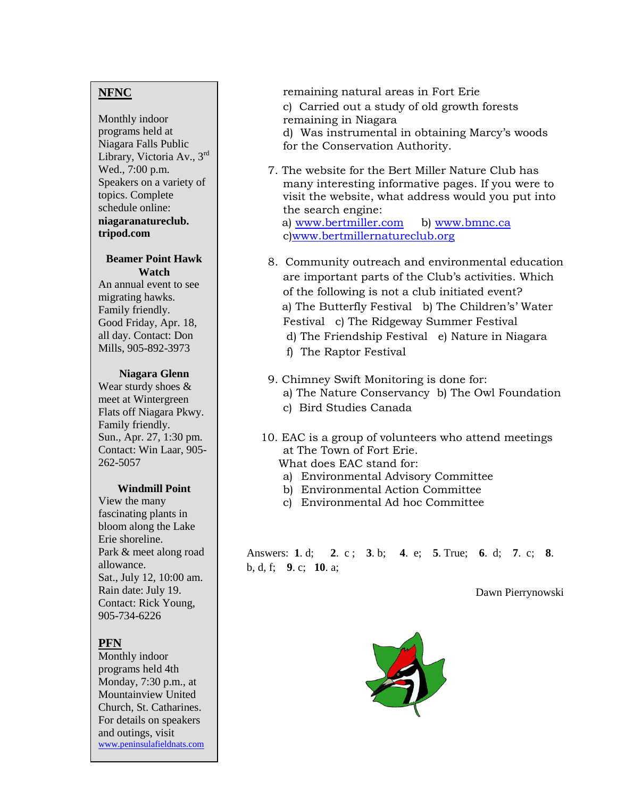### **NFNC**

Monthly indoor programs held at Niagara Falls Public Library, Victoria Av., 3rd Wed., 7:00 p.m. Speakers on a variety of topics. Complete schedule online: **niagaranatureclub. tripod.com**

#### **Beamer Point Hawk Watch**

An annual event to see migrating hawks. Family friendly. Good Friday, Apr. 18, all day. Contact: Don Mills, 905-892-3973

#### **Niagara Glenn**

Wear sturdy shoes & meet at Wintergreen Flats off Niagara Pkwy. Family friendly. Sun., Apr. 27, 1:30 pm. Contact: Win Laar, 905- 262-5057

#### **Windmill Point**

View the many fascinating plants in bloom along the Lake Erie shoreline. Park & meet along road allowance. Sat., July 12, 10:00 am. Rain date: July 19. Contact: Rick Young, 905-734-6226

### **PFN**

Monthly indoor programs held 4th Monday, 7:30 p.m., at Mountainview United Church, St. Catharines. For details on speakers and outings, visit [www.peninsulafieldnats.com](http://www.peninsulafieldnats.com/) remaining natural areas in Fort Erie

- c) Carried out a study of old growth forests remaining in Niagara
- d) Was instrumental in obtaining Marcy's woods
- for the Conservation Authority.
- 7. The website for the Bert Miller Nature Club has many interesting informative pages. If you were to visit the website, what address would you put into the search engine:

a) [www.bertmiller.com](http://www.bertmiller.com/) b) www.bmnc.ca c[\)www.bertmillernatureclub.org](http://www.bertmillernatureclub.org/)

- 8. Community outreach and environmental education are important parts of the Club's activities. Which of the following is not a club initiated event? a) The Butterfly Festival b) The Children's' Water Festival c) The Ridgeway Summer Festival d) The Friendship Festival e) Nature in Niagara f) The Raptor Festival
- 9. Chimney Swift Monitoring is done for: a) The Nature Conservancy b) The Owl Foundation c) Bird Studies Canada
- 10. EAC is a group of volunteers who attend meetings at The Town of Fort Erie. What does EAC stand for:
	- a) Environmental Advisory Committee
	- b) Environmental Action Committee
	- c) Environmental Ad hoc Committee

Answers: **1**. d; **2**. c ; **3**. b; **4**. e; **5**. True; **6**. d; **7**. c; **8**. b, d, f; **9**. c; **10**. a;

Dawn Pierrynowski

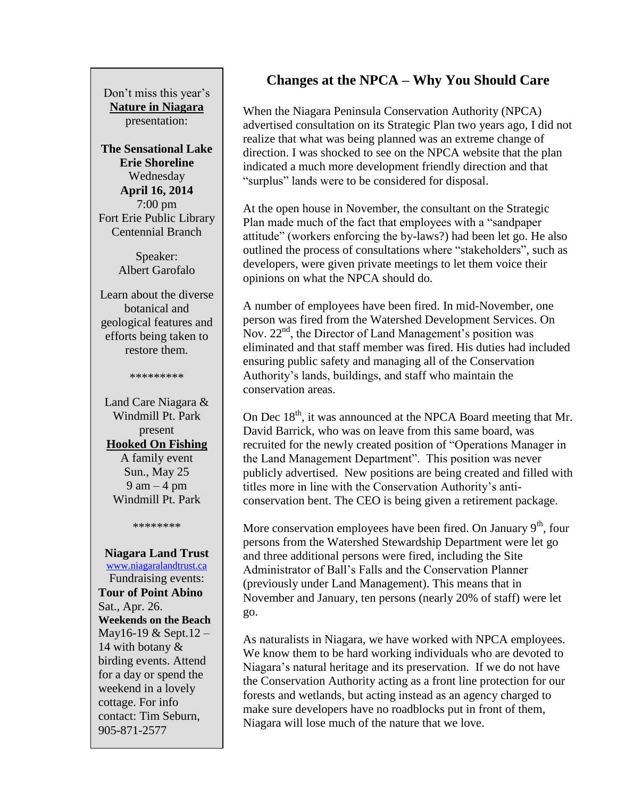Don't miss this year's **Nature in Niagara** presentation:

**The Sensational Lake Erie Shoreline** Wednesday **April 16, 2014** 7:00 pm Fort Erie Public Library Centennial Branch

> Speaker: Albert Garofalo

Learn about the diverse botanical and geological features and efforts being taken to restore them.

\*\*\*\*\*\*\*\*\*

Land Care Niagara & Windmill Pt. Park present **Hooked On Fishing** A family event Sun., May 25  $9 \text{ am} - 4 \text{ pm}$ Windmill Pt. Park

\*\*\*\*\*\*\*\*

### **Niagara Land Trust**

[www.niagaralandtrust.ca](http://www.niagaralandtrust.ca/) Fundraising events: **Tour of Point Abino** Sat., Apr. 26. **Weekends on the Beach** May16-19 & Sept.12 – 14 with botany & birding events. Attend for a day or spend the weekend in a lovely cottage. For info contact: Tim Seburn, 905-871-2577

### **Changes at the NPCA – Why You Should Care**

When the Niagara Peninsula Conservation Authority (NPCA) advertised consultation on its Strategic Plan two years ago, I did not realize that what was being planned was an extreme change of direction. I was shocked to see on the NPCA website that the plan indicated a much more development friendly direction and that "surplus" lands were to be considered for disposal.

At the open house in November, the consultant on the Strategic Plan made much of the fact that employees with a "sandpaper attitude" (workers enforcing the by-laws?) had been let go. He also outlined the process of consultations where "stakeholders", such as developers, were given private meetings to let them voice their opinions on what the NPCA should do.

A number of employees have been fired. In mid-November, one person was fired from the Watershed Development Services. On Nov.  $22<sup>nd</sup>$ , the Director of Land Management's position was eliminated and that staff member was fired. His duties had included ensuring public safety and managing all of the Conservation Authority's lands, buildings, and staff who maintain the conservation areas.

On Dec 18<sup>th</sup>, it was announced at the NPCA Board meeting that Mr. David Barrick, who was on leave from this same board, was recruited for the newly created position of "Operations Manager in the Land Management Department". This position was never publicly advertised. New positions are being created and filled with titles more in line with the Conservation Authority's anticonservation bent. The CEO is being given a retirement package.

More conservation employees have been fired. On January  $9<sup>th</sup>$ , four persons from the Watershed Stewardship Department were let go and three additional persons were fired, including the Site Administrator of Ball's Falls and the Conservation Planner (previously under Land Management). This means that in November and January, ten persons (nearly 20% of staff) were let go.

As naturalists in Niagara, we have worked with NPCA employees. We know them to be hard working individuals who are devoted to Niagara's natural heritage and its preservation. If we do not have the Conservation Authority acting as a front line protection for our forests and wetlands, but acting instead as an agency charged to make sure developers have no roadblocks put in front of them, Niagara will lose much of the nature that we love.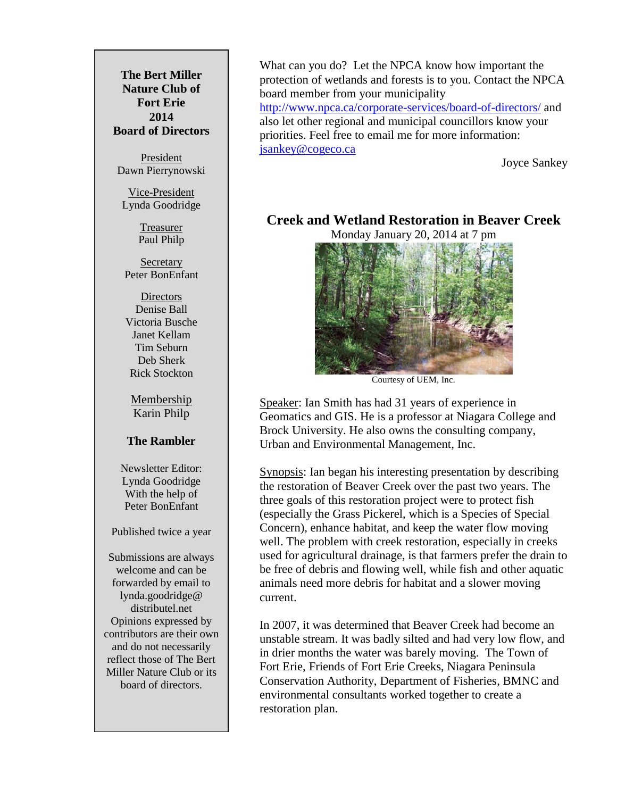**The Bert Miller Nature Club of Fort Erie 2014 Board of Directors**

President Dawn Pierrynowski

Vice-President Lynda Goodridge

> **Treasurer** Paul Philp

Secretary Peter BonEnfant

**Directors** Denise Ball Victoria Busche Janet Kellam Tim Seburn Deb Sherk Rick Stockton

Membership Karin Philp

#### **The Rambler**

Newsletter Editor: Lynda Goodridge With the help of Peter BonEnfant

Published twice a year

Submissions are always welcome and can be forwarded by email to lynda.goodridge@ distributel.net Opinions expressed by contributors are their own and do not necessarily reflect those of The Bert Miller Nature Club or its board of directors.

What can you do? Let the NPCA know how important the protection of wetlands and forests is to you. Contact the NPCA board member from your municipality <http://www.npca.ca/corporate-services/board-of-directors/> and also let other regional and municipal councillors know your priorities. Feel free to email me for more information: [jsankey@cogeco.ca](mailto:jsankey@cogeco.ca)

Joyce Sankey

### **Creek and Wetland Restoration in Beaver Creek**

Monday January 20, 2014 at 7 pm



Courtesy of UEM, Inc.

Speaker: Ian Smith has had 31 years of experience in Geomatics and GIS. He is a professor at Niagara College and Brock University. He also owns the consulting company, Urban and Environmental Management, Inc.

Synopsis: Ian began his interesting presentation by describing the restoration of Beaver Creek over the past two years. The three goals of this restoration project were to protect fish (especially the Grass Pickerel, which is a Species of Special Concern), enhance habitat, and keep the water flow moving well. The problem with creek restoration, especially in creeks used for agricultural drainage, is that farmers prefer the drain to be free of debris and flowing well, while fish and other aquatic animals need more debris for habitat and a slower moving current.

In 2007, it was determined that Beaver Creek had become an unstable stream. It was badly silted and had very low flow, and in drier months the water was barely moving. The Town of Fort Erie, Friends of Fort Erie Creeks, Niagara Peninsula Conservation Authority, Department of Fisheries, BMNC and environmental consultants worked together to create a restoration plan.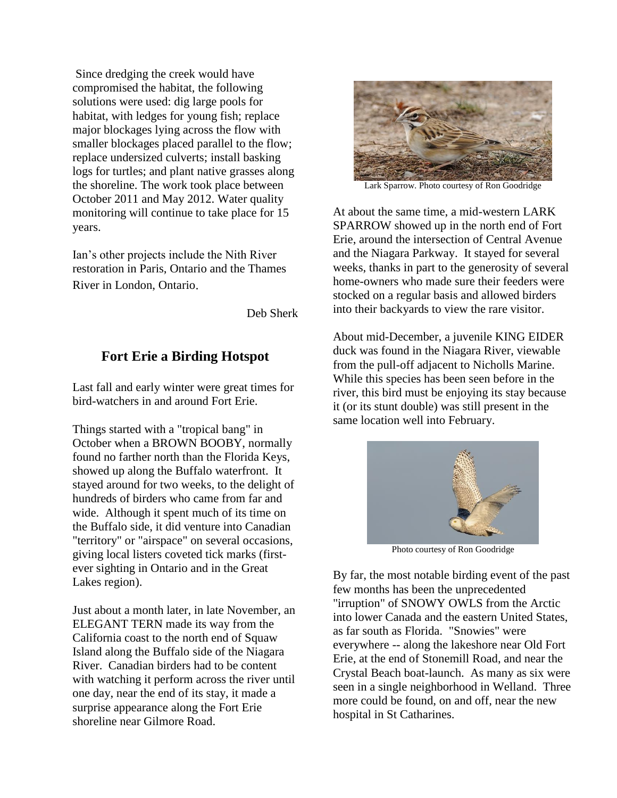Since dredging the creek would have compromised the habitat, the following solutions were used: dig large pools for habitat, with ledges for young fish; replace major blockages lying across the flow with smaller blockages placed parallel to the flow; replace undersized culverts; install basking logs for turtles; and plant native grasses along the shoreline. The work took place between October 2011 and May 2012. Water quality monitoring will continue to take place for 15 years.

Ian's other projects include the Nith River restoration in Paris, Ontario and the Thames River in London, Ontario.

Deb Sherk

# **Fort Erie a Birding Hotspot**

Last fall and early winter were great times for bird-watchers in and around Fort Erie.

Things started with a "tropical bang" in October when a BROWN BOOBY, normally found no farther north than the Florida Keys, showed up along the Buffalo waterfront. It stayed around for two weeks, to the delight of hundreds of birders who came from far and wide. Although it spent much of its time on the Buffalo side, it did venture into Canadian "territory" or "airspace" on several occasions, giving local listers coveted tick marks (firstever sighting in Ontario and in the Great Lakes region).

Just about a month later, in late November, an ELEGANT TERN made its way from the California coast to the north end of Squaw Island along the Buffalo side of the Niagara River. Canadian birders had to be content with watching it perform across the river until one day, near the end of its stay, it made a surprise appearance along the Fort Erie shoreline near Gilmore Road.



Lark Sparrow. Photo courtesy of Ron Goodridge

At about the same time, a mid-western LARK SPARROW showed up in the north end of Fort Erie, around the intersection of Central Avenue and the Niagara Parkway. It stayed for several weeks, thanks in part to the generosity of several home-owners who made sure their feeders were stocked on a regular basis and allowed birders into their backyards to view the rare visitor.

About mid-December, a juvenile KING EIDER duck was found in the Niagara River, viewable from the pull-off adjacent to Nicholls Marine. While this species has been seen before in the river, this bird must be enjoying its stay because it (or its stunt double) was still present in the same location well into February.



Photo courtesy of Ron Goodridge

By far, the most notable birding event of the past few months has been the unprecedented "irruption" of SNOWY OWLS from the Arctic into lower Canada and the eastern United States, as far south as Florida. "Snowies" were everywhere -- along the lakeshore near Old Fort Erie, at the end of Stonemill Road, and near the Crystal Beach boat-launch. As many as six were seen in a single neighborhood in Welland. Three more could be found, on and off, near the new hospital in St Catharines.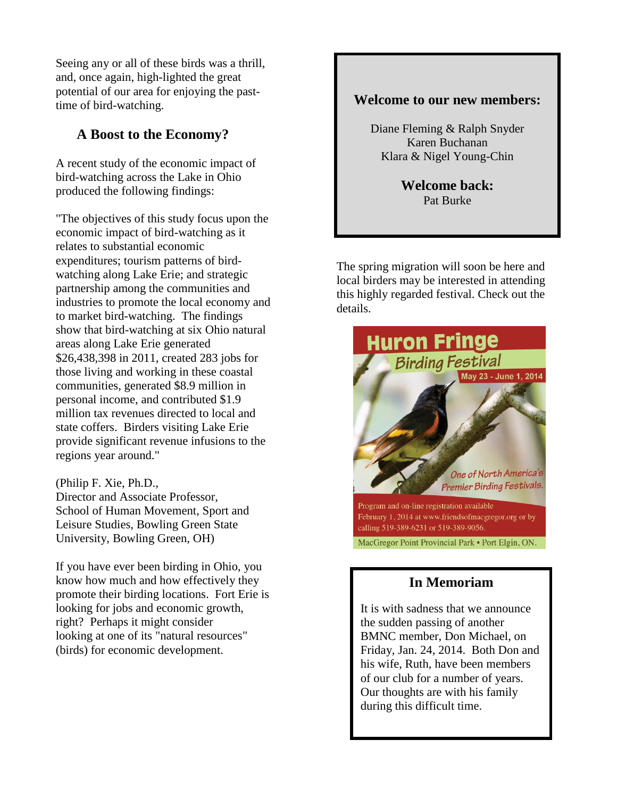Seeing any or all of these birds was a thrill, and, once again, high-lighted the great potential of our area for enjoying the pasttime of bird-watching.

# **A Boost to the Economy?**

A recent study of the economic impact of bird-watching across the Lake in Ohio produced the following findings:

"The objectives of this study focus upon the economic impact of bird-watching as it relates to substantial economic expenditures; tourism patterns of birdwatching along Lake Erie; and strategic partnership among the communities and industries to promote the local economy and to market bird-watching. The findings show that bird-watching at six Ohio natural areas along Lake Erie generated \$26,438,398 in 2011, created 283 jobs for those living and working in these coastal communities, generated \$8.9 million in personal income, and contributed \$1.9 million tax revenues directed to local and state coffers. Birders visiting Lake Erie provide significant revenue infusions to the regions year around."

#### (Philip F. Xie, Ph.D.,

Director and Associate Professor, School of Human Movement, Sport and Leisure Studies, Bowling Green State University, Bowling Green, OH)

If you have ever been birding in Ohio, you know how much and how effectively they promote their birding locations. Fort Erie is looking for jobs and economic growth, right? Perhaps it might consider looking at one of its "natural resources" (birds) for economic development.

### **Welcome to our new members:**

Diane Fleming & Ralph Snyder Karen Buchanan Klara & Nigel Young-Chin

> **Welcome back:** Pat Burke

The spring migration will soon be here and local birders may be interested in attending this highly regarded festival. Check out the details.



### **In Memoriam**

It is with sadness that we announce the sudden passing of another BMNC member, Don Michael, on Friday, Jan. 24, 2014. Both Don and his wife, Ruth, have been members of our club for a number of years. Our thoughts are with his family during this difficult time.